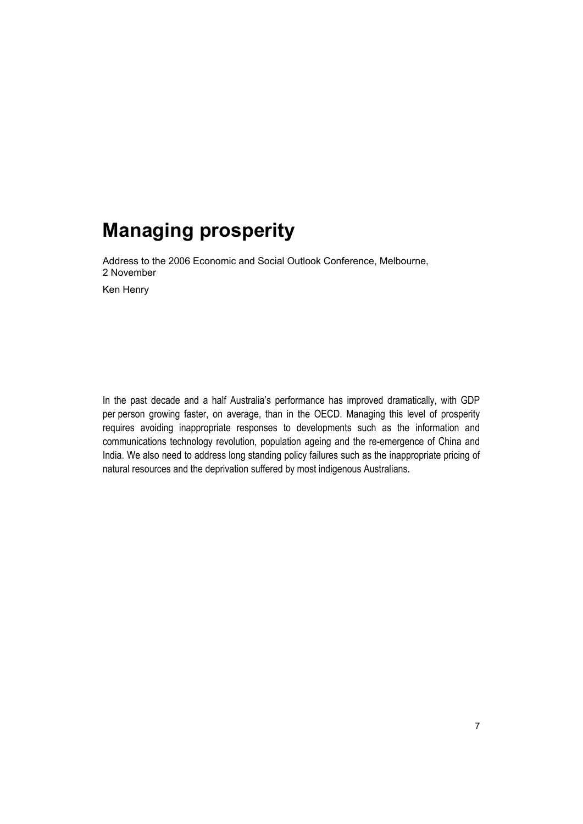Address to the 2006 Economic and Social Outlook Conference, Melbourne, 2 November

Ken Henry

In the past decade and a half Australia's performance has improved dramatically, with GDP per person growing faster, on average, than in the OECD. Managing this level of prosperity requires avoiding inappropriate responses to developments such as the information and communications technology revolution, population ageing and the re-emergence of China and India. We also need to address long standing policy failures such as the inappropriate pricing of natural resources and the deprivation suffered by most indigenous Australians.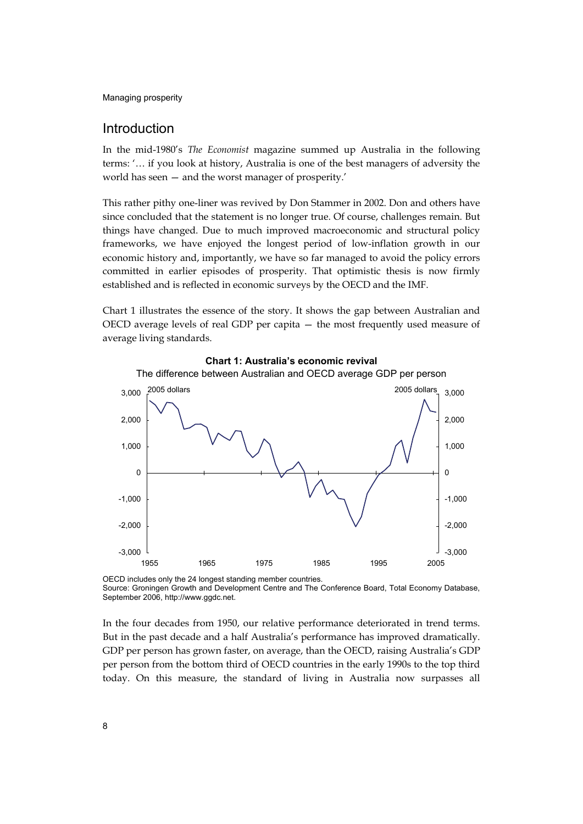## Introduction

In the mid-1980's *The Economist* magazine summed up Australia in the following terms: '… if you look at history, Australia is one of the best managers of adversity the world has seen — and the worst manager of prosperity.'

This rather pithy one-liner was revived by Don Stammer in 2002. Don and others have since concluded that the statement is no longer true. Of course, challenges remain. But things have changed. Due to much improved macroeconomic and structural policy frameworks, we have enjoyed the longest period of low-inflation growth in our economic history and, importantly, we have so far managed to avoid the policy errors committed in earlier episodes of prosperity. That optimistic thesis is now firmly established and is reflected in economic surveys by the OECD and the IMF.

Chart 1 illustrates the essence of the story. It shows the gap between Australian and OECD average levels of real GDP per capita — the most frequently used measure of average living standards.



**Chart 1: Australia's economic revival** 

OECD includes only the 24 longest standing member countries. Source: Groningen Growth and Development Centre and The Conference Board, Total Economy Database, September 2006, http://www.ggdc.net.

In the four decades from 1950, our relative performance deteriorated in trend terms. But in the past decade and a half Australia's performance has improved dramatically. GDP per person has grown faster, on average, than the OECD, raising Australia's GDP per person from the bottom third of OECD countries in the early 1990s to the top third today. On this measure, the standard of living in Australia now surpasses all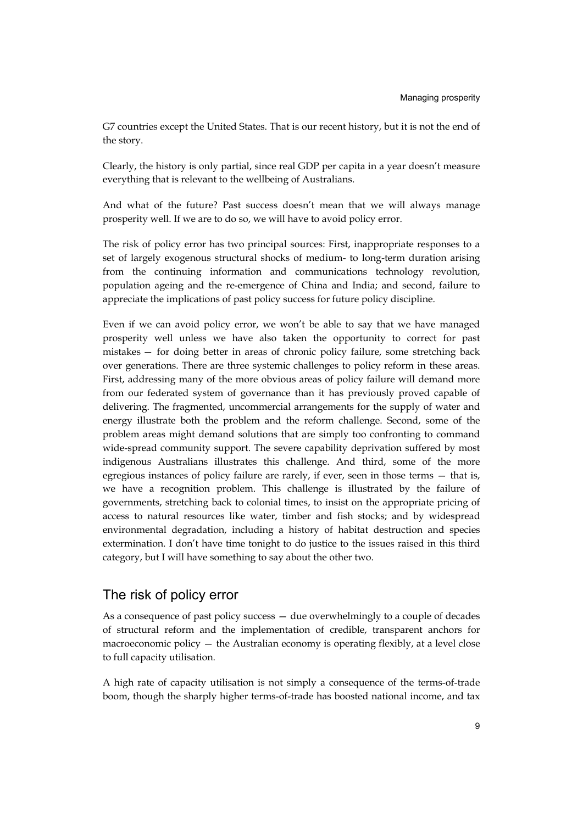G7 countries except the United States. That is our recent history, but it is not the end of the story.

Clearly, the history is only partial, since real GDP per capita in a year doesn't measure everything that is relevant to the wellbeing of Australians.

And what of the future? Past success doesn't mean that we will always manage prosperity well. If we are to do so, we will have to avoid policy error.

The risk of policy error has two principal sources: First, inappropriate responses to a set of largely exogenous structural shocks of medium- to long-term duration arising from the continuing information and communications technology revolution, population ageing and the re-emergence of China and India; and second, failure to appreciate the implications of past policy success for future policy discipline.

Even if we can avoid policy error, we won't be able to say that we have managed prosperity well unless we have also taken the opportunity to correct for past mistakes — for doing better in areas of chronic policy failure, some stretching back over generations. There are three systemic challenges to policy reform in these areas. First, addressing many of the more obvious areas of policy failure will demand more from our federated system of governance than it has previously proved capable of delivering. The fragmented, uncommercial arrangements for the supply of water and energy illustrate both the problem and the reform challenge. Second, some of the problem areas might demand solutions that are simply too confronting to command wide-spread community support. The severe capability deprivation suffered by most indigenous Australians illustrates this challenge. And third, some of the more egregious instances of policy failure are rarely, if ever, seen in those terms — that is, we have a recognition problem. This challenge is illustrated by the failure of governments, stretching back to colonial times, to insist on the appropriate pricing of access to natural resources like water, timber and fish stocks; and by widespread environmental degradation, including a history of habitat destruction and species extermination. I don't have time tonight to do justice to the issues raised in this third category, but I will have something to say about the other two.

## The risk of policy error

As a consequence of past policy success — due overwhelmingly to a couple of decades of structural reform and the implementation of credible, transparent anchors for macroeconomic policy — the Australian economy is operating flexibly, at a level close to full capacity utilisation.

A high rate of capacity utilisation is not simply a consequence of the terms-of-trade boom, though the sharply higher terms-of-trade has boosted national income, and tax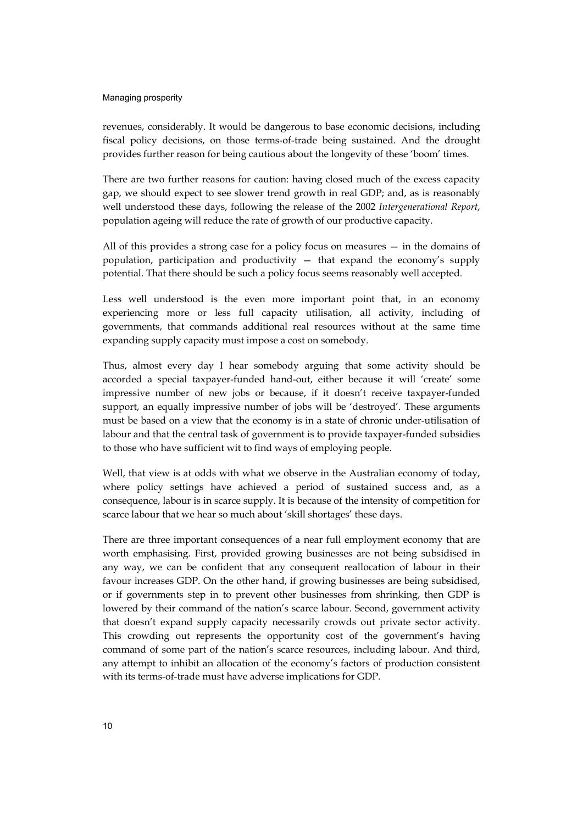revenues, considerably. It would be dangerous to base economic decisions, including fiscal policy decisions, on those terms-of-trade being sustained. And the drought provides further reason for being cautious about the longevity of these 'boom' times.

There are two further reasons for caution: having closed much of the excess capacity gap, we should expect to see slower trend growth in real GDP; and, as is reasonably well understood these days, following the release of the 2002 *Intergenerational Report*, population ageing will reduce the rate of growth of our productive capacity.

All of this provides a strong case for a policy focus on measures — in the domains of population, participation and productivity — that expand the economy's supply potential. That there should be such a policy focus seems reasonably well accepted.

Less well understood is the even more important point that, in an economy experiencing more or less full capacity utilisation, all activity, including of governments, that commands additional real resources without at the same time expanding supply capacity must impose a cost on somebody.

Thus, almost every day I hear somebody arguing that some activity should be accorded a special taxpayer-funded hand-out, either because it will 'create' some impressive number of new jobs or because, if it doesn't receive taxpayer-funded support, an equally impressive number of jobs will be 'destroyed'. These arguments must be based on a view that the economy is in a state of chronic under-utilisation of labour and that the central task of government is to provide taxpayer-funded subsidies to those who have sufficient wit to find ways of employing people.

Well, that view is at odds with what we observe in the Australian economy of today, where policy settings have achieved a period of sustained success and, as a consequence, labour is in scarce supply. It is because of the intensity of competition for scarce labour that we hear so much about 'skill shortages' these days.

There are three important consequences of a near full employment economy that are worth emphasising. First, provided growing businesses are not being subsidised in any way, we can be confident that any consequent reallocation of labour in their favour increases GDP. On the other hand, if growing businesses are being subsidised, or if governments step in to prevent other businesses from shrinking, then GDP is lowered by their command of the nation's scarce labour. Second, government activity that doesn't expand supply capacity necessarily crowds out private sector activity. This crowding out represents the opportunity cost of the government's having command of some part of the nation's scarce resources, including labour. And third, any attempt to inhibit an allocation of the economy's factors of production consistent with its terms-of-trade must have adverse implications for GDP.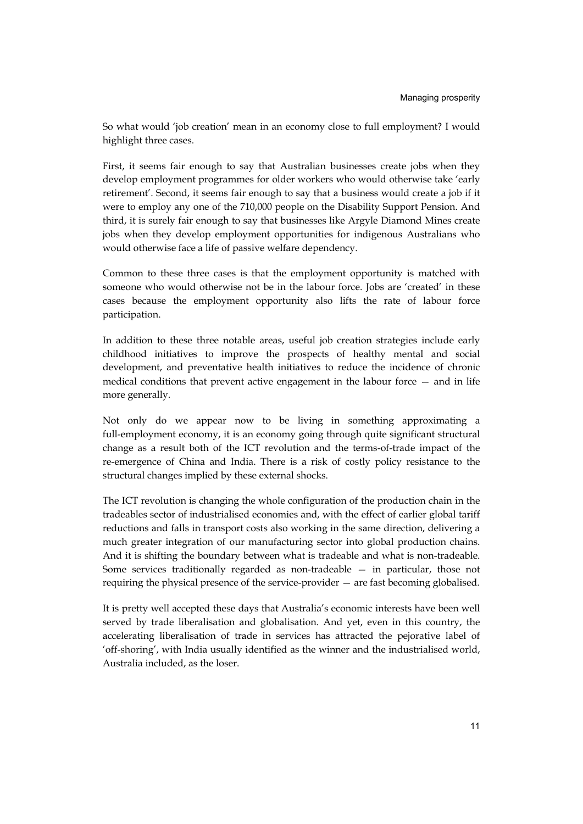So what would 'job creation' mean in an economy close to full employment? I would highlight three cases.

First, it seems fair enough to say that Australian businesses create jobs when they develop employment programmes for older workers who would otherwise take 'early retirement'. Second, it seems fair enough to say that a business would create a job if it were to employ any one of the 710,000 people on the Disability Support Pension. And third, it is surely fair enough to say that businesses like Argyle Diamond Mines create jobs when they develop employment opportunities for indigenous Australians who would otherwise face a life of passive welfare dependency.

Common to these three cases is that the employment opportunity is matched with someone who would otherwise not be in the labour force. Jobs are 'created' in these cases because the employment opportunity also lifts the rate of labour force participation.

In addition to these three notable areas, useful job creation strategies include early childhood initiatives to improve the prospects of healthy mental and social development, and preventative health initiatives to reduce the incidence of chronic medical conditions that prevent active engagement in the labour force — and in life more generally.

Not only do we appear now to be living in something approximating a full-employment economy, it is an economy going through quite significant structural change as a result both of the ICT revolution and the terms-of-trade impact of the re-emergence of China and India. There is a risk of costly policy resistance to the structural changes implied by these external shocks.

The ICT revolution is changing the whole configuration of the production chain in the tradeables sector of industrialised economies and, with the effect of earlier global tariff reductions and falls in transport costs also working in the same direction, delivering a much greater integration of our manufacturing sector into global production chains. And it is shifting the boundary between what is tradeable and what is non-tradeable. Some services traditionally regarded as non-tradeable — in particular, those not requiring the physical presence of the service-provider — are fast becoming globalised.

It is pretty well accepted these days that Australia's economic interests have been well served by trade liberalisation and globalisation. And yet, even in this country, the accelerating liberalisation of trade in services has attracted the pejorative label of 'off-shoring', with India usually identified as the winner and the industrialised world, Australia included, as the loser.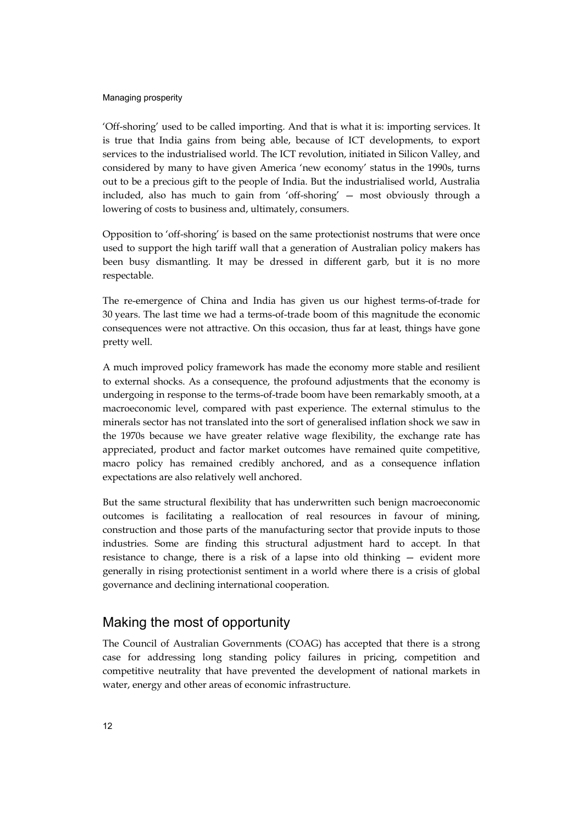'Off-shoring' used to be called importing. And that is what it is: importing services. It is true that India gains from being able, because of ICT developments, to export services to the industrialised world. The ICT revolution, initiated in Silicon Valley, and considered by many to have given America 'new economy' status in the 1990s, turns out to be a precious gift to the people of India. But the industrialised world, Australia included, also has much to gain from 'off-shoring' — most obviously through a lowering of costs to business and, ultimately, consumers.

Opposition to 'off-shoring' is based on the same protectionist nostrums that were once used to support the high tariff wall that a generation of Australian policy makers has been busy dismantling. It may be dressed in different garb, but it is no more respectable.

The re-emergence of China and India has given us our highest terms-of-trade for 30 years. The last time we had a terms-of-trade boom of this magnitude the economic consequences were not attractive. On this occasion, thus far at least, things have gone pretty well.

A much improved policy framework has made the economy more stable and resilient to external shocks. As a consequence, the profound adjustments that the economy is undergoing in response to the terms-of-trade boom have been remarkably smooth, at a macroeconomic level, compared with past experience. The external stimulus to the minerals sector has not translated into the sort of generalised inflation shock we saw in the 1970s because we have greater relative wage flexibility, the exchange rate has appreciated, product and factor market outcomes have remained quite competitive, macro policy has remained credibly anchored, and as a consequence inflation expectations are also relatively well anchored.

But the same structural flexibility that has underwritten such benign macroeconomic outcomes is facilitating a reallocation of real resources in favour of mining, construction and those parts of the manufacturing sector that provide inputs to those industries. Some are finding this structural adjustment hard to accept. In that resistance to change, there is a risk of a lapse into old thinking — evident more generally in rising protectionist sentiment in a world where there is a crisis of global governance and declining international cooperation.

# Making the most of opportunity

The Council of Australian Governments (COAG) has accepted that there is a strong case for addressing long standing policy failures in pricing, competition and competitive neutrality that have prevented the development of national markets in water, energy and other areas of economic infrastructure.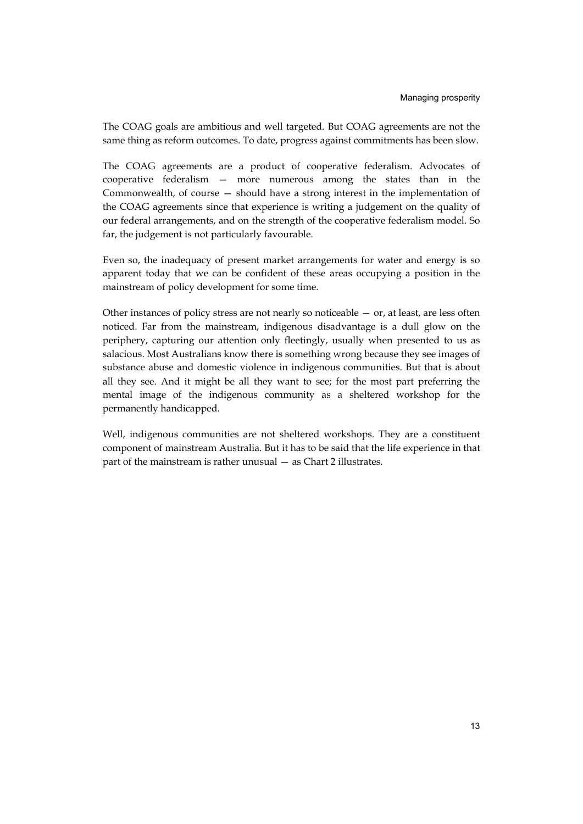The COAG goals are ambitious and well targeted. But COAG agreements are not the same thing as reform outcomes. To date, progress against commitments has been slow.

The COAG agreements are a product of cooperative federalism. Advocates of cooperative federalism — more numerous among the states than in the Commonwealth, of course — should have a strong interest in the implementation of the COAG agreements since that experience is writing a judgement on the quality of our federal arrangements, and on the strength of the cooperative federalism model. So far, the judgement is not particularly favourable.

Even so, the inadequacy of present market arrangements for water and energy is so apparent today that we can be confident of these areas occupying a position in the mainstream of policy development for some time.

Other instances of policy stress are not nearly so noticeable  $-$  or, at least, are less often noticed. Far from the mainstream, indigenous disadvantage is a dull glow on the periphery, capturing our attention only fleetingly, usually when presented to us as salacious. Most Australians know there is something wrong because they see images of substance abuse and domestic violence in indigenous communities. But that is about all they see. And it might be all they want to see; for the most part preferring the mental image of the indigenous community as a sheltered workshop for the permanently handicapped.

Well, indigenous communities are not sheltered workshops. They are a constituent component of mainstream Australia. But it has to be said that the life experience in that part of the mainstream is rather unusual — as Chart 2 illustrates.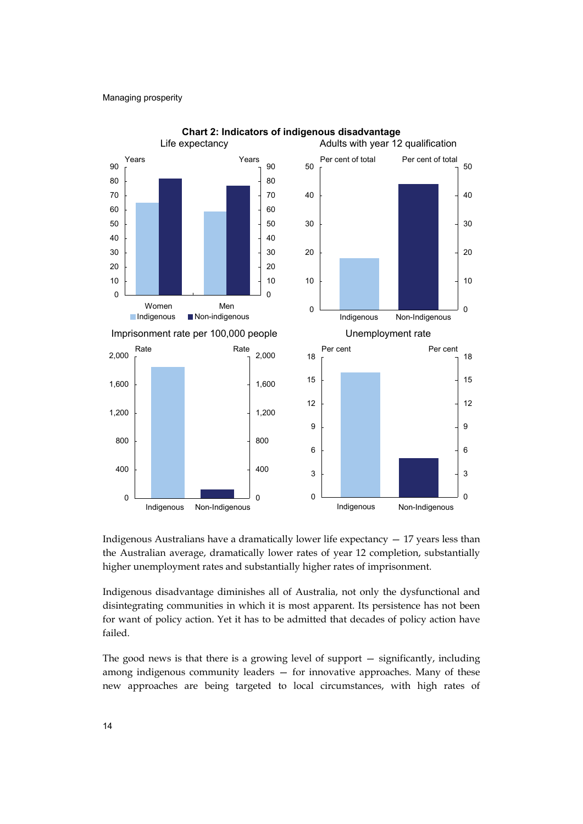

**Chart 2: Indicators of indigenous disadvantage** 

Indigenous Australians have a dramatically lower life expectancy — 17 years less than the Australian average, dramatically lower rates of year 12 completion, substantially higher unemployment rates and substantially higher rates of imprisonment.

Indigenous disadvantage diminishes all of Australia, not only the dysfunctional and disintegrating communities in which it is most apparent. Its persistence has not been for want of policy action. Yet it has to be admitted that decades of policy action have failed.

The good news is that there is a growing level of support — significantly, including among indigenous community leaders — for innovative approaches. Many of these new approaches are being targeted to local circumstances, with high rates of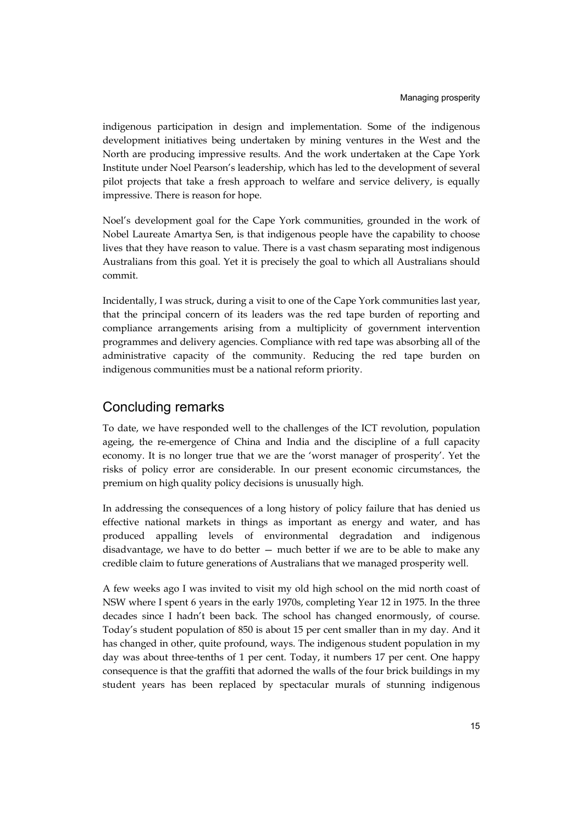indigenous participation in design and implementation. Some of the indigenous development initiatives being undertaken by mining ventures in the West and the North are producing impressive results. And the work undertaken at the Cape York Institute under Noel Pearson's leadership, which has led to the development of several pilot projects that take a fresh approach to welfare and service delivery, is equally impressive. There is reason for hope.

Noel's development goal for the Cape York communities, grounded in the work of Nobel Laureate Amartya Sen, is that indigenous people have the capability to choose lives that they have reason to value. There is a vast chasm separating most indigenous Australians from this goal. Yet it is precisely the goal to which all Australians should commit.

Incidentally, I was struck, during a visit to one of the Cape York communities last year, that the principal concern of its leaders was the red tape burden of reporting and compliance arrangements arising from a multiplicity of government intervention programmes and delivery agencies. Compliance with red tape was absorbing all of the administrative capacity of the community. Reducing the red tape burden on indigenous communities must be a national reform priority.

# Concluding remarks

To date, we have responded well to the challenges of the ICT revolution, population ageing, the re-emergence of China and India and the discipline of a full capacity economy. It is no longer true that we are the 'worst manager of prosperity'. Yet the risks of policy error are considerable. In our present economic circumstances, the premium on high quality policy decisions is unusually high.

In addressing the consequences of a long history of policy failure that has denied us effective national markets in things as important as energy and water, and has produced appalling levels of environmental degradation and indigenous disadvantage, we have to do better — much better if we are to be able to make any credible claim to future generations of Australians that we managed prosperity well.

A few weeks ago I was invited to visit my old high school on the mid north coast of NSW where I spent 6 years in the early 1970s, completing Year 12 in 1975. In the three decades since I hadn't been back. The school has changed enormously, of course. Today's student population of 850 is about 15 per cent smaller than in my day. And it has changed in other, quite profound, ways. The indigenous student population in my day was about three-tenths of 1 per cent. Today, it numbers 17 per cent. One happy consequence is that the graffiti that adorned the walls of the four brick buildings in my student years has been replaced by spectacular murals of stunning indigenous